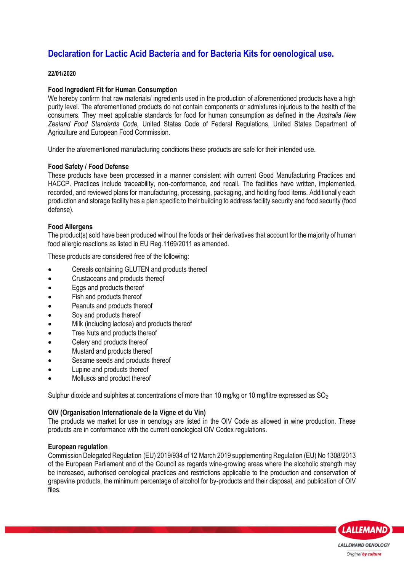# **Declaration for Lactic Acid Bacteria and for Bacteria Kits for oenological use.**

## **22/01/2020**

# **Food Ingredient Fit for Human Consumption**

We hereby confirm that raw materials/ ingredients used in the production of aforementioned products have a high purity level. The aforementioned products do not contain components or admixtures injurious to the health of the consumers. They meet applicable standards for food for human consumption as defined in the *Australia New Zealand Food Standards Code,* United States Code of Federal Regulations, United States Department of Agriculture and European Food Commission.

Under the aforementioned manufacturing conditions these products are safe for their intended use.

#### **Food Safety / Food Defense**

These products have been processed in a manner consistent with current Good Manufacturing Practices and HACCP. Practices include traceability, non-conformance, and recall. The facilities have written, implemented, recorded, and reviewed plans for manufacturing, processing, packaging, and holding food items. Additionally each production and storage facility has a plan specific to their building to address facility security and food security (food defense).

## **Food Allergens**

The product(s) sold have been produced without the foods or their derivatives that account for the majority of human food allergic reactions as listed in EU Reg.1169/2011 as amended.

These products are considered free of the following:

- Cereals containing GLUTEN and products thereof
- Crustaceans and products thereof
- Eggs and products thereof
- Fish and products thereof
- Peanuts and products thereof
- Soy and products thereof
- Milk (including lactose) and products thereof
- Tree Nuts and products thereof
- Celery and products thereof
- Mustard and products thereof
- Sesame seeds and products thereof
- Lupine and products thereof
- Molluscs and product thereof

Sulphur dioxide and sulphites at concentrations of more than 10 mg/kg or 10 mg/litre expressed as  $SO<sub>2</sub>$ 

#### **OIV (Organisation Internationale de la Vigne et du Vin)**

The products we market for use in oenology are listed in the OIV Code as allowed in wine production. These products are in conformance with the current oenological OIV Codex regulations.

#### **European regulation**

Commission Delegated Regulation (EU) 2019/934 of 12 March 2019 supplementing Regulation (EU) No 1308/2013 of the European Parliament and of the Council as regards wine-growing areas where the alcoholic strength may be increased, authorised oenological practices and restrictions applicable to the production and conservation of grapevine products, the minimum percentage of alcohol for by-products and their disposal, and publication of OIV files.

**LALLEMAND** 

**LALLEMAND OENOLOGY** Original by culture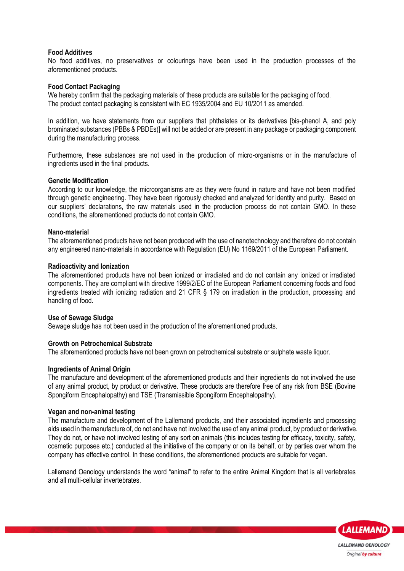## **Food Additives**

No food additives, no preservatives or colourings have been used in the production processes of the aforementioned products.

#### **Food Contact Packaging**

We hereby confirm that the packaging materials of these products are suitable for the packaging of food. The product contact packaging is consistent with EC 1935/2004 and EU 10/2011 as amended.

In addition, we have statements from our suppliers that phthalates or its derivatives [bis-phenol A, and poly brominated substances (PBBs & PBDEs)] will not be added or are present in any package or packaging component during the manufacturing process.

Furthermore, these substances are not used in the production of micro-organisms or in the manufacture of ingredients used in the final products.

#### **Genetic Modification**

According to our knowledge, the microorganisms are as they were found in nature and have not been modified through genetic engineering. They have been rigorously checked and analyzed for identity and purity. Based on our suppliers' declarations, the raw materials used in the production process do not contain GMO. In these conditions, the aforementioned products do not contain GMO.

#### **Nano-material**

The aforementioned products have not been produced with the use of nanotechnology and therefore do not contain any engineered nano-materials in accordance with Regulation (EU) No 1169/2011 of the European Parliament.

#### **Radioactivity and Ionization**

The aforementioned products have not been ionized or irradiated and do not contain any ionized or irradiated components. They are compliant with directive 1999/2/EC of the European Parliament concerning foods and food ingredients treated with ionizing radiation and 21 CFR § 179 on irradiation in the production, processing and handling of food.

#### **Use of Sewage Sludge**

Sewage sludge has not been used in the production of the aforementioned products.

#### **Growth on Petrochemical Substrate**

The aforementioned products have not been grown on petrochemical substrate or sulphate waste liquor.

#### **Ingredients of Animal Origin**

The manufacture and development of the aforementioned products and their ingredients do not involved the use of any animal product, by product or derivative. These products are therefore free of any risk from BSE (Bovine Spongiform Encephalopathy) and TSE (Transmissible Spongiform Encephalopathy).

#### **Vegan and non-animal testing**

The manufacture and development of the Lallemand products, and their associated ingredients and processing aids used in the manufacture of, do not and have not involved the use of any animal product, by product or derivative. They do not, or have not involved testing of any sort on animals (this includes testing for efficacy, toxicity, safety, cosmetic purposes etc.) conducted at the initiative of the company or on its behalf, or by parties over whom the company has effective control. In these conditions, the aforementioned products are suitable for vegan.

Lallemand Oenology understands the word "animal" to refer to the entire Animal Kingdom that is all vertebrates and all multi-cellular invertebrates.

**LALLEMAND** 

**LALLEMAND OENOLOGY** Original by culture